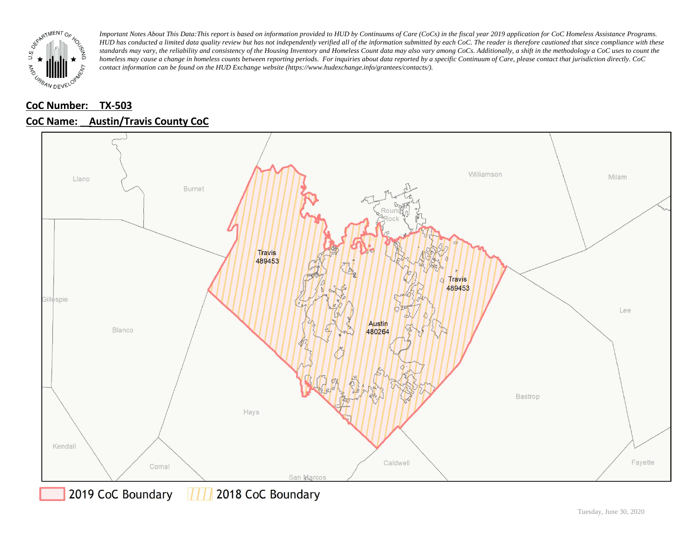

## **CoC Number: TX-503 CoC Name: \_\_ Austin/Travis County CoC**



**THE 2018 CoC Boundary** 2019 CoC Boundary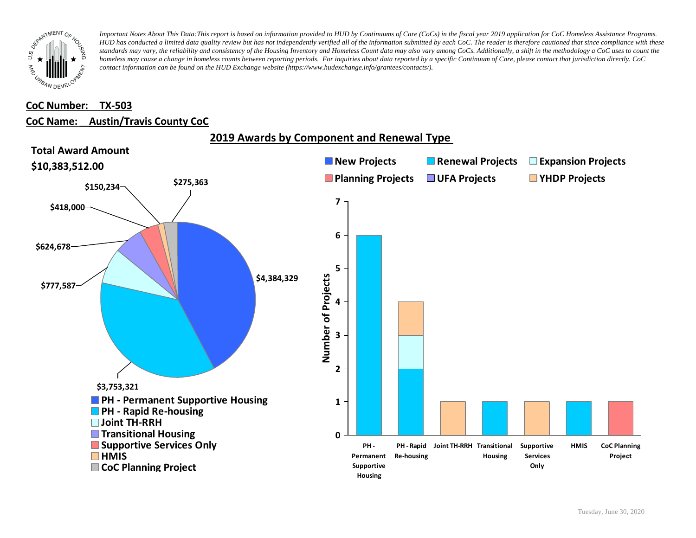

#### **CoC Number: TX-503**

#### **CoC Name: \_\_ Austin/Travis County CoC**

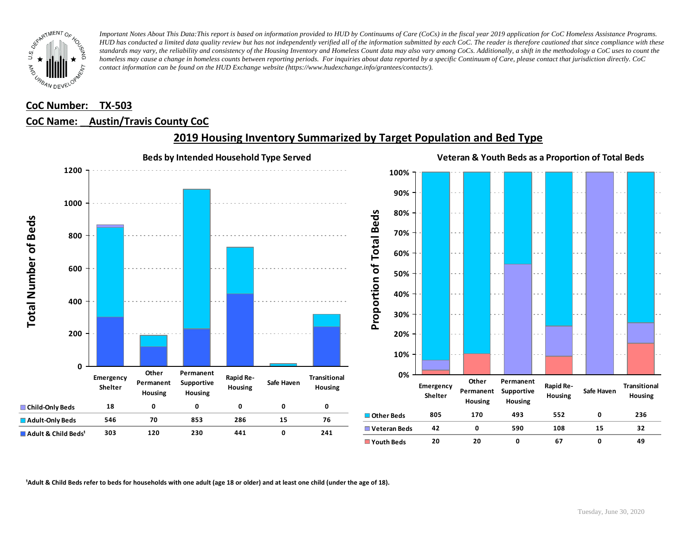

### **CoC Number: TX-503**

### **CoC Name: \_\_ Austin/Travis County CoC**



## **2019 Housing Inventory Summarized by Target Population and Bed Type**

<sup>1</sup> Adult & Child Beds refer to beds for households with one adult (age 18 or older) and at least one child (under the age of 18).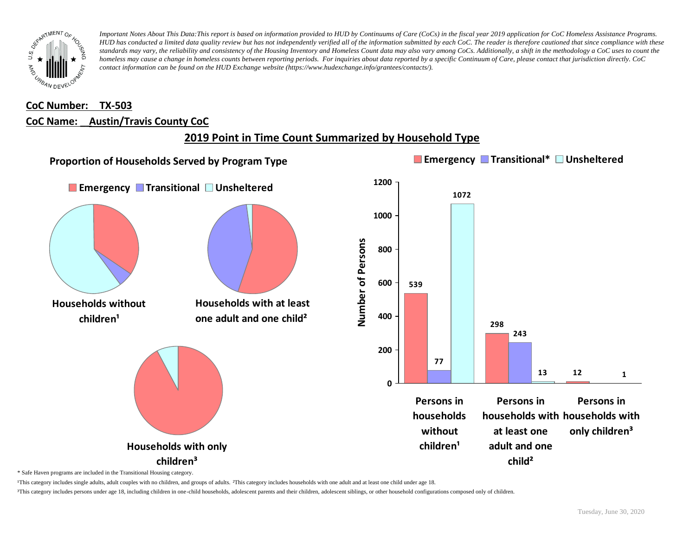

## **CoC Number: TX-503 CoC Name: \_\_ Austin/Travis County CoC**

# **2019 Point in Time Count Summarized by Household Type**



\* Safe Haven programs are included in the Transitional Housing category.

¹This category includes single adults, adult couples with no children, and groups of adults. ²This category includes households with one adult and at least one child under age 18.

³This category includes persons under age 18, including children in one-child households, adolescent parents and their children, adolescent siblings, or other household configurations composed only of children.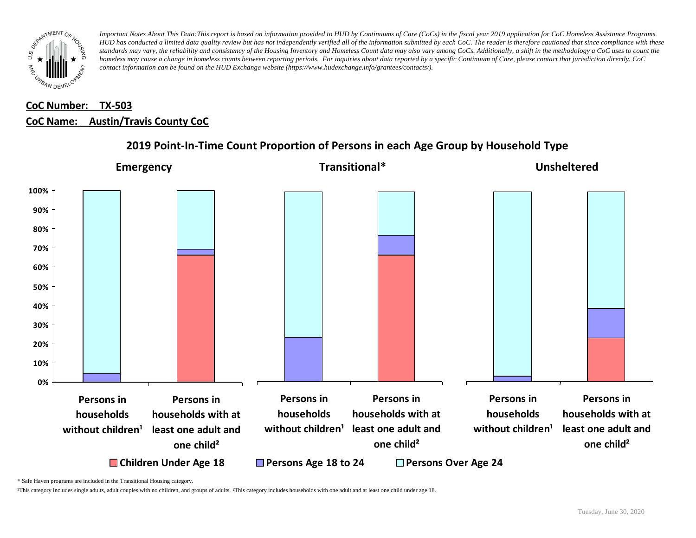

# **CoC Number: TX-503 CoC Name: \_\_ Austin/Travis County CoC**



## **2019 Point-In-Time Count Proportion of Persons in each Age Group by Household Type**

\* Safe Haven programs are included in the Transitional Housing category.

¹This category includes single adults, adult couples with no children, and groups of adults. ²This category includes households with one adult and at least one child under age 18.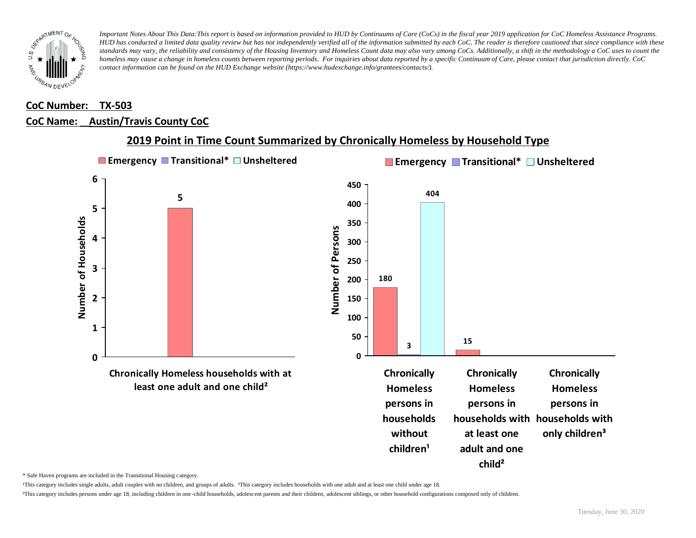

#### **CoC Number: TX-503**

#### **CoC Name: \_\_ Austin/Travis County CoC**



### **2019 Point in Time Count Summarized by Chronically Homeless by Household Type**

\* Safe Haven programs are included in the Transitional Housing category.

¹This category includes single adults, adult couples with no children, and groups of adults. ²This category includes households with one adult and at least one child under age 18.

³This category includes persons under age 18, including children in one -child households, adolescent parents and their children, adolescent siblings, or other household configurations composed only of children.